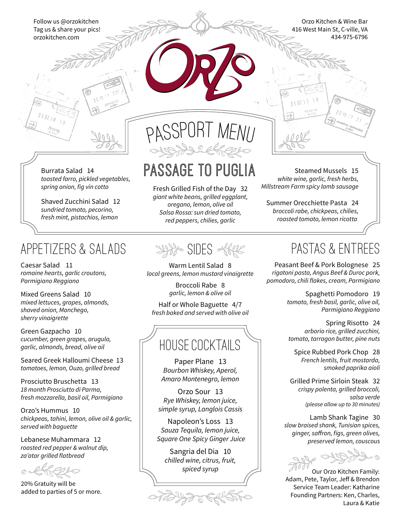Follow us @orzokitchen Tag us & share your pics! orzokitchen.com

Orzo Kitchen & Wine Bar 416 West Main St, C-ville, VA 434-975-6796

*toasted farro, pickled vegetables, spring onion, fig vin cotto*

Shaved Zucchini Salad 12 *sundried tomato, pecorino, fresh mint, pistachios, lemon*

### appetizers & Salads

Caesar Salad 11 *romaine hearts, garlic croutons, Parmigiano Reggiano*

Mixed Greens Salad 10 *mixed lettuces, grapes, almonds, shaved onion, Manchego, sherry vinaigrette*

Green Gazpacho 10 *cucumber, green grapes, arugula, garlic, almonds, bread, olive oil*

Seared Greek Halloumi Cheese 13 *tomatoes, lemon, Ouzo, grilled bread*

Prosciutto Bruschetta 13 *18 month Prosciutto di Parma, fresh mozzarella, basil oil, Parmigiano*

Orzo's Hummus 10 *chickpeas, tahini, lemon, olive oil & garlic, served with baguette*

Lebanese Muhammara 12 *roasted red pepper & walnut dip, za'atar grilled flatbread*

 $\circledcirc$ 

20% Gratuity will be added to parties of 5 or more.



# Burrata Salad 14 PASSAGE TO PUGLIA

Fresh Grilled Fish of the Day 32 *giant white beans, grilled eggplant, oregano, lemon, olive oil Salsa Rossa: sun dried tomato, red peppers, chilies, garlic*

3488 SIDES offer

Warm Lentil Salad 8 *local greens, lemon mustard vinaigrette*

> Broccoli Rabe 8 *garlic, lemon & olive oil*

Half or Whole Baguette 4/7 *fresh baked and served with olive oil*

# HOUSE COCKTAILS

Paper Plane 13 *Bourbon Whiskey, Aperol, Amaro Montenegro, lemon*

Orzo Sour 13 *Rye Whiskey, lemon juice, simple syrup, Langlois Cassis*

Napoleon's Loss 13 *Sauza Tequila, lemon juice, Square One Spicy Ginger Juice*

Sangria del Dia 10 *chilled wine, citrus, fruit, spiced syrup*

977990

Steamed Mussels 15 *white wine, garlic, fresh herbs, Millstream Farm spicy lamb sausage*

21.07.13

Summer Orecchiette Pasta 24 *broccoli rabe, chickpeas, chilies, roasted tomato, lemon ricotta* 

# pastas & ENTREES

Peasant Beef & Pork Bolognese 25 *rigatoni pasta, Angus Beef & Duroc pork, pomodoro, chili flakes, cream, Parmigiano*

> Spaghetti Pomodoro 19 *tomato, fresh basil, garlic, olive oil, Parmigiano Reggiano*

Spring Risotto 24 *arborio rice, grilled zucchini, tomato, tarragon butter, pine nuts*

Spice Rubbed Pork Chop 28 *French lentils, fruit mostarda, smoked paprika aioli*

Grilled Prime Sirloin Steak 32 *crispy polenta, grilled broccoli, salsa verde (please allow up to 30 minutes)*

Lamb Shank Tagine 30 *slow braised shank, Tunisian spices,* ginger, saffron, figs, green olives, *preserved lemon, couscous*



Our Orzo Kitchen Family: Adam, Pete, Taylor, Jeff & Brendon Service Team Leader: Katharine Founding Partners: Ken, Charles, Laura & Katie